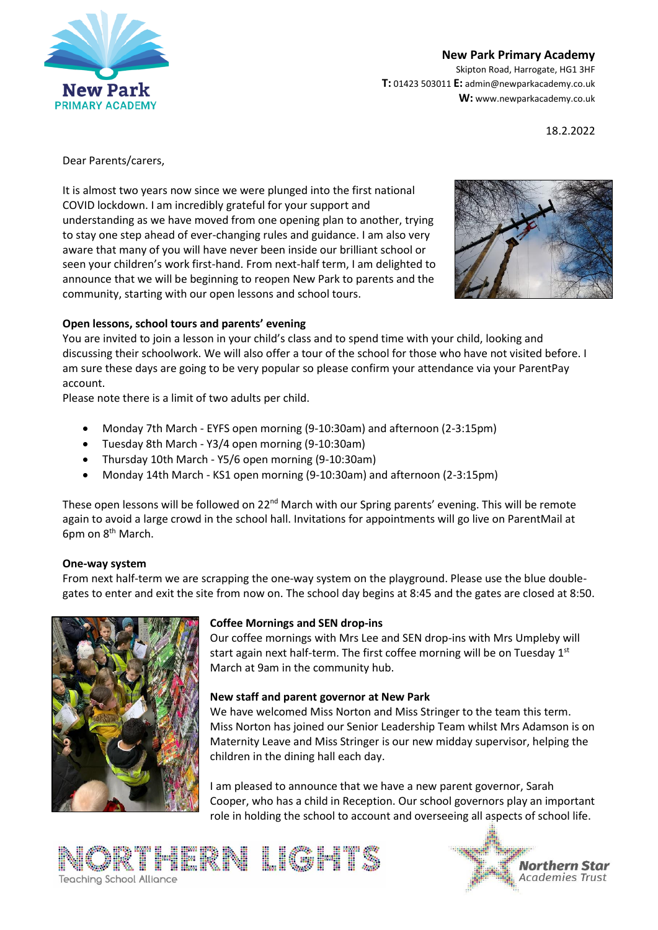

**New Park Primary Academy** Skipton Road, Harrogate, HG1 3HF **T:** 01423 503011 **E:** admin@newparkacademy.co.uk **W:** www.newparkacademy.co.uk

18.2.2022

**Northern Star Academies Trust** 

Dear Parents/carers,

It is almost two years now since we were plunged into the first national COVID lockdown. I am incredibly grateful for your support and understanding as we have moved from one opening plan to another, trying to stay one step ahead of ever-changing rules and guidance. I am also very aware that many of you will have never been inside our brilliant school or seen your children's work first-hand. From next-half term, I am delighted to announce that we will be beginning to reopen New Park to parents and the community, starting with our open lessons and school tours.



# **Open lessons, school tours and parents' evening**

You are invited to join a lesson in your child's class and to spend time with your child, looking and discussing their schoolwork. We will also offer a tour of the school for those who have not visited before. I am sure these days are going to be very popular so please confirm your attendance via your ParentPay account.

Please note there is a limit of two adults per child.

- Monday 7th March EYFS open morning (9-10:30am) and afternoon (2-3:15pm)
- Tuesday 8th March Y3/4 open morning (9-10:30am)
- Thursday 10th March Y5/6 open morning (9-10:30am)
- Monday 14th March KS1 open morning (9-10:30am) and afternoon (2-3:15pm)

These open lessons will be followed on 22<sup>nd</sup> March with our Spring parents' evening. This will be remote again to avoid a large crowd in the school hall. Invitations for appointments will go live on ParentMail at 6pm on 8<sup>th</sup> March.

# **One-way system**

From next half-term we are scrapping the one-way system on the playground. Please use the blue doublegates to enter and exit the site from now on. The school day begins at 8:45 and the gates are closed at 8:50.



# **Coffee Mornings and SEN drop-ins**

Our coffee mornings with Mrs Lee and SEN drop-ins with Mrs Umpleby will start again next half-term. The first coffee morning will be on Tuesday 1st March at 9am in the community hub.

# **New staff and parent governor at New Park**

We have welcomed Miss Norton and Miss Stringer to the team this term. Miss Norton has joined our Senior Leadership Team whilst Mrs Adamson is on Maternity Leave and Miss Stringer is our new midday supervisor, helping the children in the dining hall each day.

I am pleased to announce that we have a new parent governor, Sarah Cooper, who has a child in Reception. Our school governors play an important role in holding the school to account and overseeing all aspects of school life.